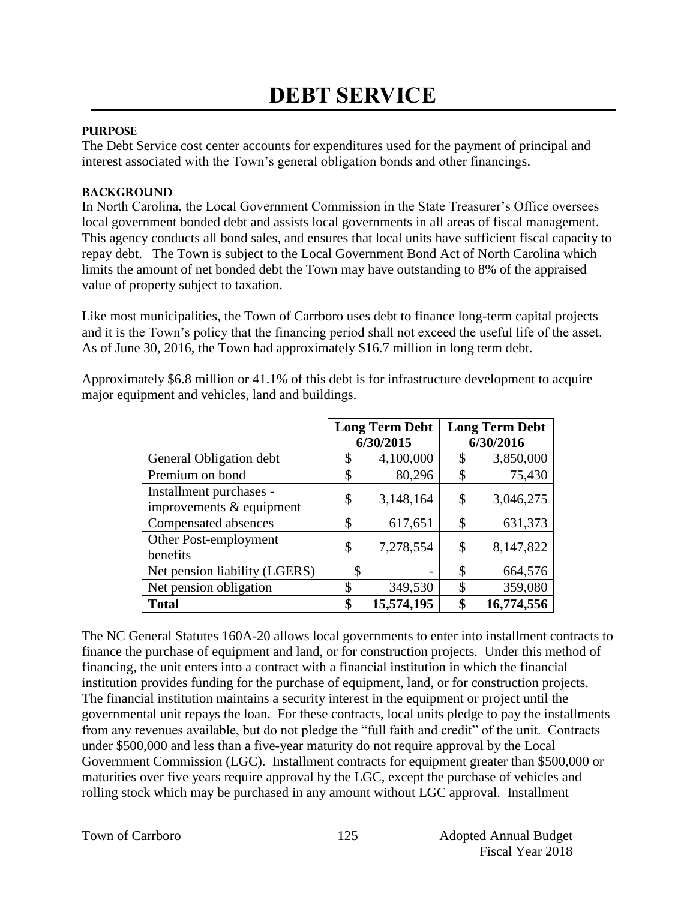## **PURPOSE**

The Debt Service cost center accounts for expenditures used for the payment of principal and interest associated with the Town's general obligation bonds and other financings.

### **BACKGROUND**

In North Carolina, the Local Government Commission in the State Treasurer's Office oversees local government bonded debt and assists local governments in all areas of fiscal management. This agency conducts all bond sales, and ensures that local units have sufficient fiscal capacity to repay debt. The Town is subject to the Local Government Bond Act of North Carolina which limits the amount of net bonded debt the Town may have outstanding to 8% of the appraised value of property subject to taxation.

Like most municipalities, the Town of Carrboro uses debt to finance long-term capital projects and it is the Town's policy that the financing period shall not exceed the useful life of the asset. As of June 30, 2016, the Town had approximately \$16.7 million in long term debt.

Approximately \$6.8 million or 41.1% of this debt is for infrastructure development to acquire major equipment and vehicles, land and buildings.

|                                                       | <b>Long Term Debt</b><br>6/30/2015 |            | <b>Long Term Debt</b><br>6/30/2016 |            |
|-------------------------------------------------------|------------------------------------|------------|------------------------------------|------------|
| General Obligation debt                               | \$                                 | 4,100,000  | \$                                 | 3,850,000  |
| Premium on bond                                       | \$                                 | 80,296     | \$                                 | 75,430     |
| Installment purchases -<br>improvements $&$ equipment | \$                                 | 3,148,164  | \$                                 | 3,046,275  |
| Compensated absences                                  | \$                                 | 617,651    | \$                                 | 631,373    |
| Other Post-employment<br>benefits                     | \$                                 | 7,278,554  | \$                                 | 8,147,822  |
| Net pension liability (LGERS)                         | \$                                 |            | \$                                 | 664,576    |
| Net pension obligation                                | \$                                 | 349,530    | \$                                 | 359,080    |
| <b>Total</b>                                          | \$                                 | 15,574,195 | \$                                 | 16,774,556 |

The NC General Statutes 160A-20 allows local governments to enter into installment contracts to finance the purchase of equipment and land, or for construction projects. Under this method of financing, the unit enters into a contract with a financial institution in which the financial institution provides funding for the purchase of equipment, land, or for construction projects. The financial institution maintains a security interest in the equipment or project until the governmental unit repays the loan. For these contracts, local units pledge to pay the installments from any revenues available, but do not pledge the "full faith and credit" of the unit. Contracts under \$500,000 and less than a five-year maturity do not require approval by the Local Government Commission (LGC). Installment contracts for equipment greater than \$500,000 or maturities over five years require approval by the LGC, except the purchase of vehicles and rolling stock which may be purchased in any amount without LGC approval. Installment